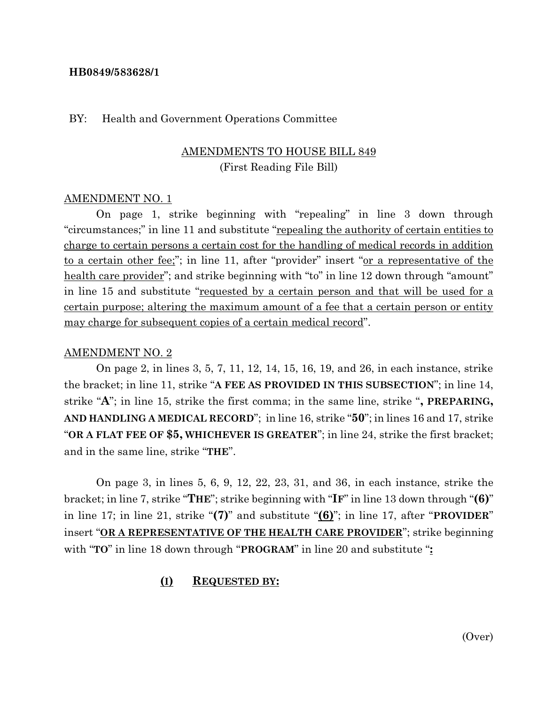#### **HB0849/583628/1**

#### BY: Health and Government Operations Committee

### AMENDMENTS TO HOUSE BILL 849 (First Reading File Bill)

#### AMENDMENT NO. 1

On page 1, strike beginning with "repealing" in line 3 down through "circumstances;" in line 11 and substitute "repealing the authority of certain entities to charge to certain persons a certain cost for the handling of medical records in addition to a certain other fee;"; in line 11, after "provider" insert "or a representative of the health care provider"; and strike beginning with "to" in line 12 down through "amount" in line 15 and substitute "requested by a certain person and that will be used for a certain purpose; altering the maximum amount of a fee that a certain person or entity may charge for subsequent copies of a certain medical record".

#### AMENDMENT NO. 2

On page 2, in lines 3, 5, 7, 11, 12, 14, 15, 16, 19, and 26, in each instance, strike the bracket; in line 11, strike "**A FEE AS PROVIDED IN THIS SUBSECTION**"; in line 14, strike "**A**"; in line 15, strike the first comma; in the same line, strike "**, PREPARING, AND HANDLING A MEDICAL RECORD**"; in line 16, strike "**50**"; in lines 16 and 17, strike "**OR A FLAT FEE OF \$5, WHICHEVER IS GREATER**"; in line 24, strike the first bracket; and in the same line, strike "**THE**".

On page 3, in lines 5, 6, 9, 12, 22, 23, 31, and 36, in each instance, strike the bracket; in line 7, strike "**THE**"; strike beginning with "**IF**" in line 13 down through "**(6)**" in line 17; in line 21, strike "**(7)**" and substitute "**(6)**"; in line 17, after "**PROVIDER**" insert "**OR A REPRESENTATIVE OF THE HEALTH CARE PROVIDER**"; strike beginning with "**TO**" in line 18 down through "**PROGRAM**" in line 20 and substitute "**:**

#### **(I) REQUESTED BY:**